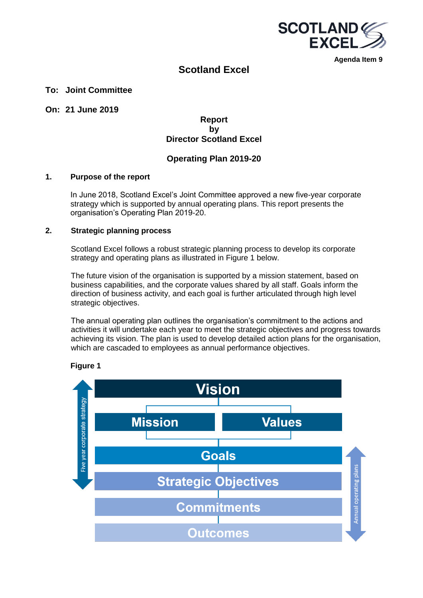

**Agenda Item 9**

## **Scotland Excel**

## **To: Joint Committee**

## **On: 21 June 2019**

## **Report by Director Scotland Excel**

## **Operating Plan 2019-20**

#### **1. Purpose of the report**

In June 2018, Scotland Excel's Joint Committee approved a new five-year corporate strategy which is supported by annual operating plans. This report presents the organisation's Operating Plan 2019-20.

## **2. Strategic planning process**

Scotland Excel follows a robust strategic planning process to develop its corporate strategy and operating plans as illustrated in Figure 1 below.

The future vision of the organisation is supported by a mission statement, based on business capabilities, and the corporate values shared by all staff. Goals inform the direction of business activity, and each goal is further articulated through high level strategic objectives.

The annual operating plan outlines the organisation's commitment to the actions and activities it will undertake each year to meet the strategic objectives and progress towards achieving its vision. The plan is used to develop detailed action plans for the organisation, which are cascaded to employees as annual performance objectives.



**Figure 1**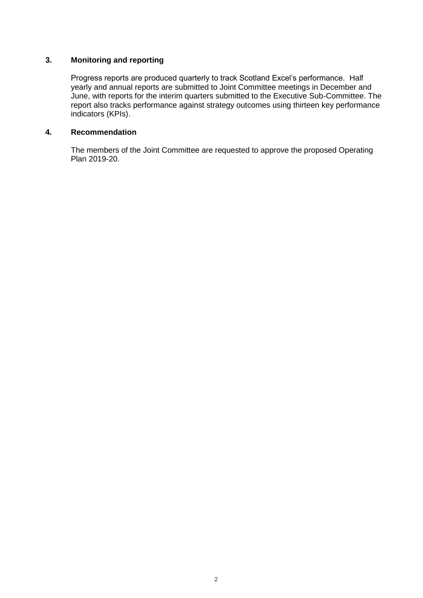## **3. Monitoring and reporting**

Progress reports are produced quarterly to track Scotland Excel's performance. Half yearly and annual reports are submitted to Joint Committee meetings in December and June, with reports for the interim quarters submitted to the Executive Sub-Committee. The report also tracks performance against strategy outcomes using thirteen key performance indicators (KPIs).

## **4. Recommendation**

The members of the Joint Committee are requested to approve the proposed Operating Plan 2019-20.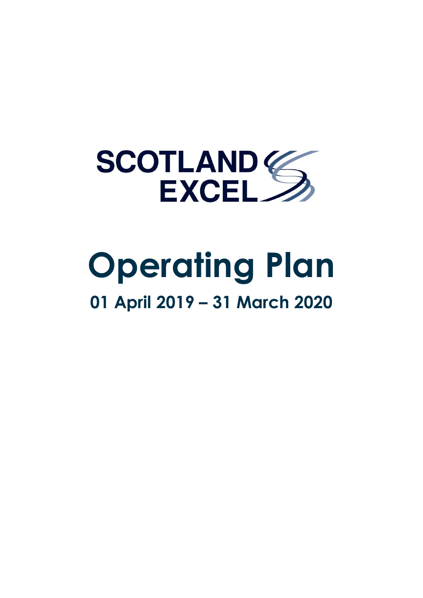

# **Operating Plan 01 April 2019 – 31 March 2020**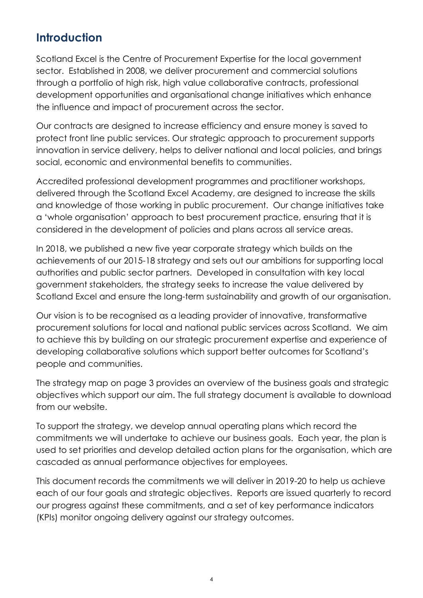## **Introduction**

Scotland Excel is the Centre of Procurement Expertise for the local government sector. Established in 2008, we deliver procurement and commercial solutions through a portfolio of high risk, high value collaborative contracts, professional development opportunities and organisational change initiatives which enhance the influence and impact of procurement across the sector.

Our contracts are designed to increase efficiency and ensure money is saved to protect front line public services. Our strategic approach to procurement supports innovation in service delivery, helps to deliver national and local policies, and brings social, economic and environmental benefits to communities.

Accredited professional development programmes and practitioner workshops, delivered through the Scotland Excel Academy, are designed to increase the skills and knowledge of those working in public procurement. Our change initiatives take a 'whole organisation' approach to best procurement practice, ensuring that it is considered in the development of policies and plans across all service areas.

In 2018, we published a new five year corporate strategy which builds on the achievements of our 2015-18 strategy and sets out our ambitions for supporting local authorities and public sector partners. Developed in consultation with key local government stakeholders, the strategy seeks to increase the value delivered by Scotland Excel and ensure the long-term sustainability and growth of our organisation.

Our vision is to be recognised as a leading provider of innovative, transformative procurement solutions for local and national public services across Scotland. We aim to achieve this by building on our strategic procurement expertise and experience of developing collaborative solutions which support better outcomes for Scotland's people and communities.

The strategy map on page 3 provides an overview of the business goals and strategic objectives which support our aim. The full strategy document is available to download from our website.

To support the strategy, we develop annual operating plans which record the commitments we will undertake to achieve our business goals. Each year, the plan is used to set priorities and develop detailed action plans for the organisation, which are cascaded as annual performance objectives for employees.

This document records the commitments we will deliver in 2019-20 to help us achieve each of our four goals and strategic objectives. Reports are issued quarterly to record our progress against these commitments, and a set of key performance indicators (KPIs) monitor ongoing delivery against our strategy outcomes.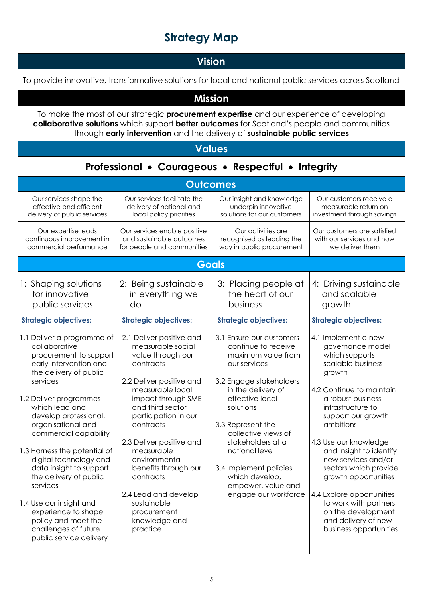# **Strategy Map**

# **Vision**

| To provide innovative, transformative solutions for local and national public services across Scotland                                                                                                                                                                                                              |                                                                                                                                                                                                                                                                           |                                                                                                                                                                                                                                                           |                                                                                                                                                                                                                                                                              |
|---------------------------------------------------------------------------------------------------------------------------------------------------------------------------------------------------------------------------------------------------------------------------------------------------------------------|---------------------------------------------------------------------------------------------------------------------------------------------------------------------------------------------------------------------------------------------------------------------------|-----------------------------------------------------------------------------------------------------------------------------------------------------------------------------------------------------------------------------------------------------------|------------------------------------------------------------------------------------------------------------------------------------------------------------------------------------------------------------------------------------------------------------------------------|
| <b>Mission</b>                                                                                                                                                                                                                                                                                                      |                                                                                                                                                                                                                                                                           |                                                                                                                                                                                                                                                           |                                                                                                                                                                                                                                                                              |
| To make the most of our strategic procurement expertise and our experience of developing<br>collaborative solutions which support better outcomes for Scotland's people and communities<br>through early intervention and the delivery of sustainable public services                                               |                                                                                                                                                                                                                                                                           |                                                                                                                                                                                                                                                           |                                                                                                                                                                                                                                                                              |
|                                                                                                                                                                                                                                                                                                                     | <b>Values</b>                                                                                                                                                                                                                                                             |                                                                                                                                                                                                                                                           |                                                                                                                                                                                                                                                                              |
|                                                                                                                                                                                                                                                                                                                     |                                                                                                                                                                                                                                                                           | Professional • Courageous • Respectful • Integrity                                                                                                                                                                                                        |                                                                                                                                                                                                                                                                              |
|                                                                                                                                                                                                                                                                                                                     | <b>Outcomes</b>                                                                                                                                                                                                                                                           |                                                                                                                                                                                                                                                           |                                                                                                                                                                                                                                                                              |
| Our services shape the<br>effective and efficient<br>delivery of public services                                                                                                                                                                                                                                    | Our services facilitate the<br>delivery of national and<br>local policy priorities                                                                                                                                                                                        | Our insight and knowledge<br>underpin innovative<br>solutions for our customers                                                                                                                                                                           | Our customers receive a<br>measurable return on<br>investment through savings                                                                                                                                                                                                |
| Our expertise leads<br>continuous improvement in<br>commercial performance                                                                                                                                                                                                                                          | Our services enable positive<br>and sustainable outcomes<br>for people and communities                                                                                                                                                                                    | Our activities are<br>recognised as leading the<br>way in public procurement                                                                                                                                                                              | Our customers are satisfied<br>with our services and how<br>we deliver them                                                                                                                                                                                                  |
|                                                                                                                                                                                                                                                                                                                     | <b>Goals</b>                                                                                                                                                                                                                                                              |                                                                                                                                                                                                                                                           |                                                                                                                                                                                                                                                                              |
| 1: Shaping solutions<br>for innovative<br>public services                                                                                                                                                                                                                                                           | 2: Being sustainable<br>in everything we<br>do                                                                                                                                                                                                                            | 3: Placing people at<br>the heart of our<br>business                                                                                                                                                                                                      | 4: Driving sustainable<br>and scalable<br>growth                                                                                                                                                                                                                             |
| <b>Strategic objectives:</b>                                                                                                                                                                                                                                                                                        | <b>Strategic objectives:</b>                                                                                                                                                                                                                                              | <b>Strategic objectives:</b>                                                                                                                                                                                                                              | <b>Strategic objectives:</b>                                                                                                                                                                                                                                                 |
| 1.1 Deliver a programme of<br>collaborative<br>procurement to support<br>early intervention and<br>the delivery of public<br>services<br>1.2 Deliver programmes<br>which lead and<br>develop professional,<br>organisational and<br>commercial capability<br>1.3 Harness the potential of<br>digital technology and | 2.1 Deliver positive and<br>measurable social<br>value through our<br>contracts<br>2.2 Deliver positive and<br>measurable local<br>impact through SME<br>and third sector<br>participation in our<br>contracts<br>2.3 Deliver positive and<br>measurable<br>environmental | 3.1 Ensure our customers<br>continue to receive<br>maximum value from<br>our services<br>3.2 Engage stakeholders<br>in the delivery of<br>effective local<br>solutions<br>3.3 Represent the<br>collective views of<br>stakeholders at a<br>national level | 4.1 Implement a new<br>governance model<br>which supports<br>scalable business<br>growth<br>4.2 Continue to maintain<br>a robust business<br>infrastructure to<br>support our growth<br>ambitions<br>4.3 Use our knowledge<br>and insight to identify<br>new services and/or |
| data insight to support<br>the delivery of public<br>services<br>1.4 Use our insight and<br>experience to shape                                                                                                                                                                                                     | benefits through our<br>contracts<br>2.4 Lead and develop<br>sustainable<br>procurement                                                                                                                                                                                   | 3.4 Implement policies<br>which develop,<br>empower, value and<br>engage our workforce                                                                                                                                                                    | sectors which provide<br>growth opportunities<br>4.4 Explore opportunities<br>to work with partners                                                                                                                                                                          |
| policy and meet the<br>challenges of future<br>public service delivery                                                                                                                                                                                                                                              | knowledge and<br>practice                                                                                                                                                                                                                                                 |                                                                                                                                                                                                                                                           | on the development<br>and delivery of new<br>business opportunities                                                                                                                                                                                                          |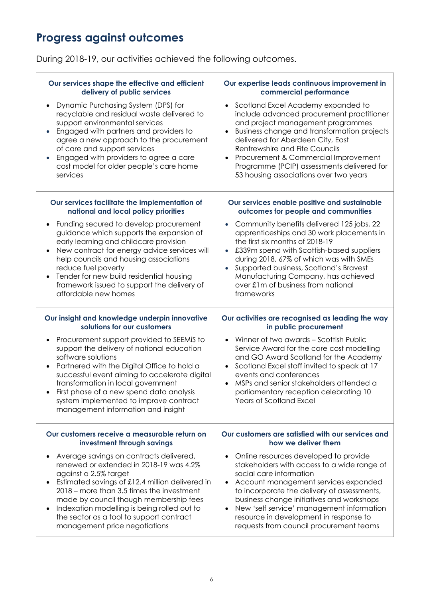# **Progress against outcomes**

During 2018-19, our activities achieved the following outcomes.

| Our services shape the effective and efficient                                                                                                                                                                                                                                                                                                                                  | Our expertise leads continuous improvement in                                                                                                                                                                                                                                                                                                                                                                     |
|---------------------------------------------------------------------------------------------------------------------------------------------------------------------------------------------------------------------------------------------------------------------------------------------------------------------------------------------------------------------------------|-------------------------------------------------------------------------------------------------------------------------------------------------------------------------------------------------------------------------------------------------------------------------------------------------------------------------------------------------------------------------------------------------------------------|
| delivery of public services                                                                                                                                                                                                                                                                                                                                                     | commercial performance                                                                                                                                                                                                                                                                                                                                                                                            |
| Dynamic Purchasing System (DPS) for<br>recyclable and residual waste delivered to<br>support environmental services<br>Engaged with partners and providers to<br>agree a new approach to the procurement<br>of care and support services<br>Engaged with providers to agree a care<br>cost model for older people's care home<br>services                                       | Scotland Excel Academy expanded to<br>$\bullet$<br>include advanced procurement practitioner<br>and project management programmes<br>Business change and transformation projects<br>$\bullet$<br>delivered for Aberdeen City, East<br>Renfrewshire and Fife Councils<br>Procurement & Commercial Improvement<br>$\bullet$<br>Programme (PCIP) assessments delivered for<br>53 housing associations over two years |
| Our services facilitate the implementation of                                                                                                                                                                                                                                                                                                                                   | Our services enable positive and sustainable                                                                                                                                                                                                                                                                                                                                                                      |
| national and local policy priorities                                                                                                                                                                                                                                                                                                                                            | outcomes for people and communities                                                                                                                                                                                                                                                                                                                                                                               |
| Funding secured to develop procurement<br>guidance which supports the expansion of<br>early learning and childcare provision<br>New contract for energy advice services will<br>help councils and housing associations<br>reduce fuel poverty<br>Tender for new build residential housing<br>framework issued to support the delivery of<br>affordable new homes                | Community benefits delivered 125 jobs, 22<br>$\bullet$<br>apprenticeships and 30 work placements in<br>the first six months of 2018-19<br>£339m spend with Scottish-based suppliers<br>$\bullet$<br>during 2018, 67% of which was with SMEs<br>Supported business, Scotland's Bravest<br>$\bullet$<br>Manufacturing Company, has achieved<br>over £1m of business from national<br>frameworks                     |
| Our insight and knowledge underpin innovative                                                                                                                                                                                                                                                                                                                                   | Our activities are recognised as leading the way                                                                                                                                                                                                                                                                                                                                                                  |
| solutions for our customers                                                                                                                                                                                                                                                                                                                                                     | in public procurement                                                                                                                                                                                                                                                                                                                                                                                             |
| Procurement support provided to SEEMIS to<br>support the delivery of national education<br>software solutions<br>Partnered with the Digital Office to hold a<br>successful event aiming to accelerate digital<br>transformation in local government<br>First phase of a new spend data analysis<br>system implemented to improve contract<br>management information and insight | Winner of two awards - Scottish Public<br>$\bullet$<br>Service Award for the care cost modelling<br>and GO Award Scotland for the Academy<br>Scotland Excel staff invited to speak at 17<br>$\bullet$<br>events and conferences<br>MSPs and senior stakeholders attended a<br>$\bullet$<br>parliamentary reception celebrating 10<br>Years of Scotland Excel                                                      |
| Our customers receive a measurable return on                                                                                                                                                                                                                                                                                                                                    | Our customers are satisfied with our services and                                                                                                                                                                                                                                                                                                                                                                 |
| investment through savings                                                                                                                                                                                                                                                                                                                                                      | how we deliver them                                                                                                                                                                                                                                                                                                                                                                                               |
| Average savings on contracts delivered,<br>renewed or extended in 2018-19 was 4.2%<br>against a 2.5% target<br>Estimated savings of £12.4 million delivered in<br>2018 – more than 3.5 times the investment<br>made by council though membership fees                                                                                                                           | Online resources developed to provide<br>$\bullet$<br>stakeholders with access to a wide range of<br>social care information<br>Account management services expanded<br>$\bullet$<br>to incorporate the delivery of assessments,<br>business change initiatives and workshops                                                                                                                                     |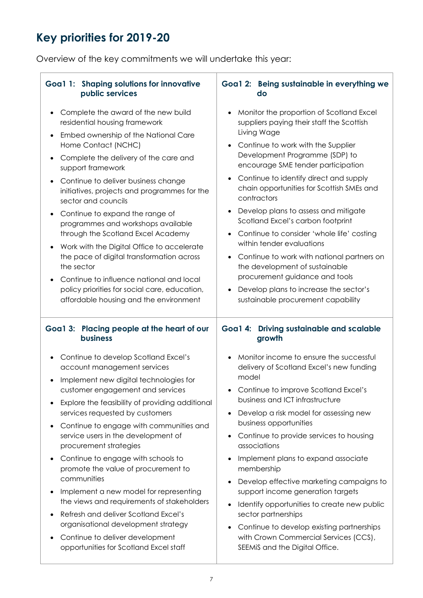# **Key priorities for 2019-20**

Overview of the key commitments we will undertake this year:

| Goa1 1: Shaping solutions for innovative                                                                                                                                                                                                                                                                                                                                                                                                                                                                                                                                                                                                                                                                                                                                  | Goa1 2: Being sustainable in everything we                                                                                                                                                                                                                                                                                                                                                                                                                                                                                                                                                                                                                                        |
|---------------------------------------------------------------------------------------------------------------------------------------------------------------------------------------------------------------------------------------------------------------------------------------------------------------------------------------------------------------------------------------------------------------------------------------------------------------------------------------------------------------------------------------------------------------------------------------------------------------------------------------------------------------------------------------------------------------------------------------------------------------------------|-----------------------------------------------------------------------------------------------------------------------------------------------------------------------------------------------------------------------------------------------------------------------------------------------------------------------------------------------------------------------------------------------------------------------------------------------------------------------------------------------------------------------------------------------------------------------------------------------------------------------------------------------------------------------------------|
| public services                                                                                                                                                                                                                                                                                                                                                                                                                                                                                                                                                                                                                                                                                                                                                           | do                                                                                                                                                                                                                                                                                                                                                                                                                                                                                                                                                                                                                                                                                |
| Complete the award of the new build<br>$\bullet$<br>residential housing framework<br>Embed ownership of the National Care<br>$\bullet$<br>Home Contact (NCHC)<br>Complete the delivery of the care and<br>$\bullet$<br>support framework<br>Continue to deliver business change<br>$\bullet$<br>initiatives, projects and programmes for the<br>sector and councils<br>Continue to expand the range of<br>$\bullet$<br>programmes and workshops available<br>through the Scotland Excel Academy<br>Work with the Digital Office to accelerate<br>$\bullet$<br>the pace of digital transformation across<br>the sector<br>Continue to influence national and local<br>$\bullet$<br>policy priorities for social care, education,<br>affordable housing and the environment | Monitor the proportion of Scotland Excel<br>suppliers paying their staff the Scottish<br>Living Wage<br>Continue to work with the Supplier<br>Development Programme (SDP) to<br>encourage SME tender participation<br>Continue to identify direct and supply<br>chain opportunities for Scottish SMEs and<br>contractors<br>Develop plans to assess and mitigate<br>Scotland Excel's carbon footprint<br>Continue to consider 'whole life' costing<br>within tender evaluations<br>Continue to work with national partners on<br>the development of sustainable<br>procurement guidance and tools<br>Develop plans to increase the sector's<br>sustainable procurement capability |
| Goa1 3: Placing people at the heart of our                                                                                                                                                                                                                                                                                                                                                                                                                                                                                                                                                                                                                                                                                                                                | Goa1 4: Driving sustainable and scalable                                                                                                                                                                                                                                                                                                                                                                                                                                                                                                                                                                                                                                          |
| <b>business</b>                                                                                                                                                                                                                                                                                                                                                                                                                                                                                                                                                                                                                                                                                                                                                           | growth                                                                                                                                                                                                                                                                                                                                                                                                                                                                                                                                                                                                                                                                            |
| Continue to develop Scotland Excel's<br>$\bullet$<br>account management services<br>Implement new digital technologies for<br>$\bullet$<br>customer engagement and services<br>Explore the feasibility of providing additional<br>٠<br>services requested by customers<br>Continue to engage with communities and<br>$\bullet$<br>service users in the development of<br>procurement strategies<br>Continue to engage with schools to<br>$\bullet$<br>promote the value of procurement to<br>communities<br>Implement a new model for representing<br>$\bullet$<br>the views and requirements of stakeholders<br>Refresh and deliver Scotland Excel's<br>$\bullet$<br>organisational development strategy                                                                 | Monitor income to ensure the successful<br>delivery of Scotland Excel's new funding<br>model<br>Continue to improve Scotland Excel's<br>business and ICT infrastructure<br>Develop a risk model for assessing new<br>business opportunities<br>Continue to provide services to housing<br>associations<br>Implement plans to expand associate<br>membership<br>Develop effective marketing campaigns to<br>support income generation targets<br>Identify opportunities to create new public<br>sector partnerships<br>Continue to develop existing partnerships                                                                                                                   |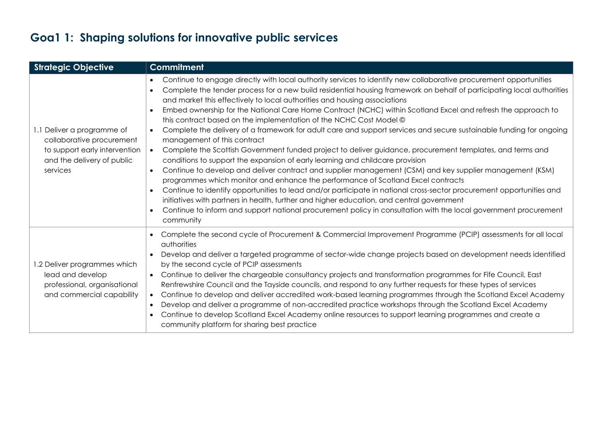# **Goa1 1: Shaping solutions for innovative public services**

| <b>Strategic Objective</b>                                                                                                         | <b>Commitment</b>                                                                                                                                                                                                                                                                                                                                                                                                                                                                                                                                                                                                                                                                                                                                                                                                                                                                                                                                                                                                                                                                                                                                                                                                                                                                                                                                                                                                                                               |
|------------------------------------------------------------------------------------------------------------------------------------|-----------------------------------------------------------------------------------------------------------------------------------------------------------------------------------------------------------------------------------------------------------------------------------------------------------------------------------------------------------------------------------------------------------------------------------------------------------------------------------------------------------------------------------------------------------------------------------------------------------------------------------------------------------------------------------------------------------------------------------------------------------------------------------------------------------------------------------------------------------------------------------------------------------------------------------------------------------------------------------------------------------------------------------------------------------------------------------------------------------------------------------------------------------------------------------------------------------------------------------------------------------------------------------------------------------------------------------------------------------------------------------------------------------------------------------------------------------------|
| 1.1 Deliver a programme of<br>collaborative procurement<br>to support early intervention<br>and the delivery of public<br>services | Continue to engage directly with local authority services to identify new collaborative procurement opportunities<br>Complete the tender process for a new build residential housing framework on behalf of participating local authorities<br>and market this effectively to local authorities and housing associations<br>Embed ownership for the National Care Home Contract (NCHC) within Scotland Excel and refresh the approach to<br>this contract based on the implementation of the NCHC Cost Model ©<br>Complete the delivery of a framework for adult care and support services and secure sustainable funding for ongoing<br>$\bullet$<br>management of this contract<br>Complete the Scottish Government funded project to deliver guidance, procurement templates, and terms and<br>$\bullet$<br>conditions to support the expansion of early learning and childcare provision<br>Continue to develop and deliver contract and supplier management (CSM) and key supplier management (KSM)<br>$\bullet$<br>programmes which monitor and enhance the performance of Scotland Excel contracts<br>Continue to identify opportunities to lead and/or participate in national cross-sector procurement opportunities and<br>initiatives with partners in health, further and higher education, and central government<br>Continue to inform and support national procurement policy in consultation with the local government procurement<br>community |
| 1.2 Deliver programmes which<br>lead and develop<br>professional, organisational<br>and commercial capability                      | Complete the second cycle of Procurement & Commercial Improvement Programme (PCIP) assessments for all local<br>authorities<br>Develop and deliver a targeted programme of sector-wide change projects based on development needs identified<br>$\bullet$<br>by the second cycle of PCIP assessments<br>Continue to deliver the chargeable consultancy projects and transformation programmes for Fife Council, East<br>$\bullet$<br>Renfrewshire Council and the Tayside councils, and respond to any further requests for these types of services<br>Continue to develop and deliver accredited work-based learning programmes through the Scotland Excel Academy<br>$\bullet$<br>Develop and deliver a programme of non-accredited practice workshops through the Scotland Excel Academy<br>$\bullet$<br>Continue to develop Scotland Excel Academy online resources to support learning programmes and create a<br>community platform for sharing best practice                                                                                                                                                                                                                                                                                                                                                                                                                                                                                             |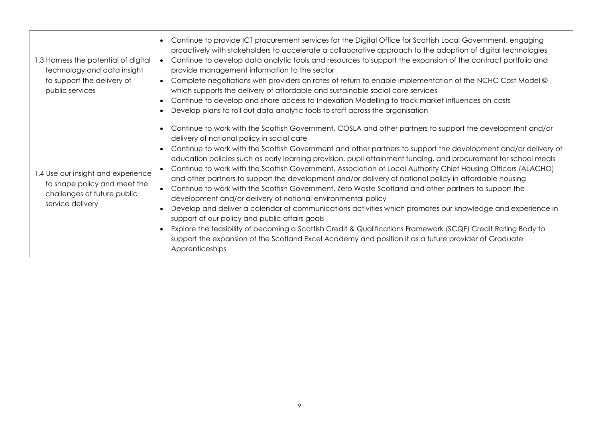| 1.3 Harness the potential of digital<br>technology and data insight<br>to support the delivery of<br>public services  | Continue to provide ICT procurement services for the Digital Office for Scottish Local Government, engaging<br>proactively with stakeholders to accelerate a collaborative approach to the adoption of digital technologies<br>Continue to develop data analytic tools and resources to support the expansion of the contract portfolio and<br>provide management information to the sector<br>Complete negotiations with providers on rates of return to enable implementation of the NCHC Cost Model ©<br>$\bullet$<br>which supports the delivery of affordable and sustainable social care services<br>Continue to develop and share access to Indexation Modelling to track market influences on costs<br>Develop plans to roll out data analytic tools to staff across the organisation                                                                                                                                                                                                                                                                                                                                                                                                                            |
|-----------------------------------------------------------------------------------------------------------------------|--------------------------------------------------------------------------------------------------------------------------------------------------------------------------------------------------------------------------------------------------------------------------------------------------------------------------------------------------------------------------------------------------------------------------------------------------------------------------------------------------------------------------------------------------------------------------------------------------------------------------------------------------------------------------------------------------------------------------------------------------------------------------------------------------------------------------------------------------------------------------------------------------------------------------------------------------------------------------------------------------------------------------------------------------------------------------------------------------------------------------------------------------------------------------------------------------------------------------|
| 1.4 Use our insight and experience<br>to shape policy and meet the<br>challenges of future public<br>service delivery | Continue to work with the Scottish Government, COSLA and other partners to support the development and/or<br>delivery of national policy in social care<br>Continue to work with the Scottish Government and other partners to support the development and/or delivery of<br>education policies such as early learning provision, pupil attainment funding, and procurement for school meals<br>Continue to work with the Scottish Government, Association of Local Authority Chief Housing Officers (ALACHO)<br>and other partners to support the development and/or delivery of national policy in affordable housing<br>Continue to work with the Scottish Government, Zero Waste Scotland and other partners to support the<br>$\bullet$<br>development and/or delivery of national environmental policy<br>Develop and deliver a calendar of communications activities which promotes our knowledge and experience in<br>support of our policy and public affairs goals<br>Explore the feasibility of becoming a Scottish Credit & Qualifications Framework (SCQF) Credit Rating Body to<br>support the expansion of the Scotland Excel Academy and position it as a future provider of Graduate<br>Apprenticeships |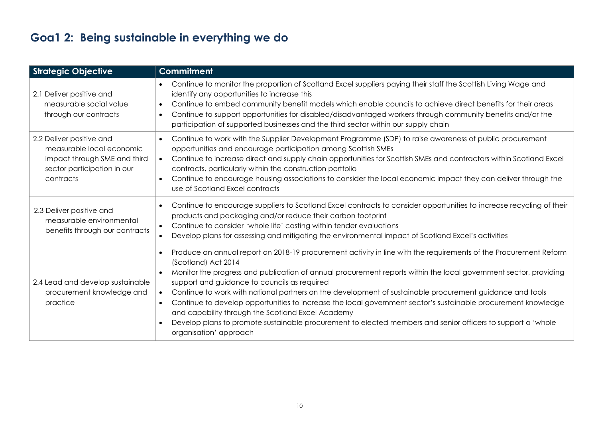# **Goa1 2: Being sustainable in everything we do**

| <b>Strategic Objective</b>                                                                                                        | <b>Commitment</b>                                                                                                                                                                                                                                                                                                                                                                                                                                                                                                                                                                                                                                                                                                                                                             |
|-----------------------------------------------------------------------------------------------------------------------------------|-------------------------------------------------------------------------------------------------------------------------------------------------------------------------------------------------------------------------------------------------------------------------------------------------------------------------------------------------------------------------------------------------------------------------------------------------------------------------------------------------------------------------------------------------------------------------------------------------------------------------------------------------------------------------------------------------------------------------------------------------------------------------------|
| 2.1 Deliver positive and<br>measurable social value<br>through our contracts                                                      | Continue to monitor the proportion of Scotland Excel suppliers paying their staff the Scottish Living Wage and<br>identify any opportunities to increase this<br>Continue to embed community benefit models which enable councils to achieve direct benefits for their areas<br>$\bullet$<br>Continue to support opportunities for disabled/disadvantaged workers through community benefits and/or the<br>$\bullet$<br>participation of supported businesses and the third sector within our supply chain                                                                                                                                                                                                                                                                    |
| 2.2 Deliver positive and<br>measurable local economic<br>impact through SME and third<br>sector participation in our<br>contracts | Continue to work with the Supplier Development Programme (SDP) to raise awareness of public procurement<br>$\bullet$<br>opportunities and encourage participation among Scottish SMEs<br>Continue to increase direct and supply chain opportunities for Scottish SMEs and contractors within Scotland Excel<br>$\bullet$<br>contracts, particularly within the construction portfolio<br>Continue to encourage housing associations to consider the local economic impact they can deliver through the<br>$\bullet$<br>use of Scotland Excel contracts                                                                                                                                                                                                                        |
| 2.3 Deliver positive and<br>measurable environmental<br>benefits through our contracts                                            | Continue to encourage suppliers to Scotland Excel contracts to consider opportunities to increase recycling of their<br>products and packaging and/or reduce their carbon footprint<br>Continue to consider 'whole life' costing within tender evaluations<br>$\bullet$<br>Develop plans for assessing and mitigating the environmental impact of Scotland Excel's activities<br>$\bullet$                                                                                                                                                                                                                                                                                                                                                                                    |
| 2.4 Lead and develop sustainable<br>procurement knowledge and<br>practice                                                         | Produce an annual report on 2018-19 procurement activity in line with the requirements of the Procurement Reform<br>(Scotland) Act 2014<br>Monitor the progress and publication of annual procurement reports within the local government sector, providing<br>$\bullet$<br>support and guidance to councils as required<br>Continue to work with national partners on the development of sustainable procurement guidance and tools<br>$\bullet$<br>Continue to develop opportunities to increase the local government sector's sustainable procurement knowledge<br>$\bullet$<br>and capability through the Scotland Excel Academy<br>Develop plans to promote sustainable procurement to elected members and senior officers to support a 'whole<br>organisation' approach |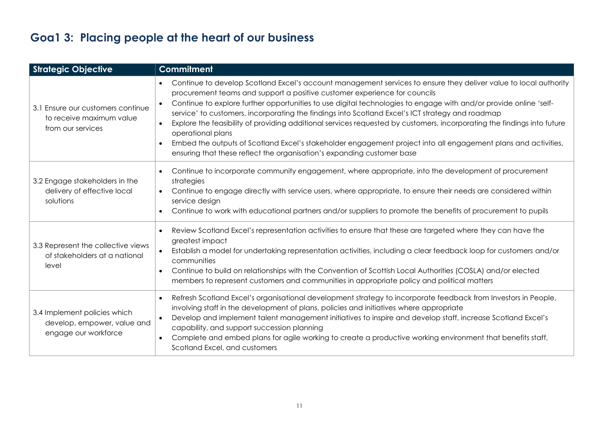# **Goa1 3: Placing people at the heart of our business**

| <b>Strategic Objective</b>                                                          | <b>Commitment</b>                                                                                                                                                                                                                                                                                                                                                                                                                                                                                                                                                                                                                                                                                                                                                                                         |
|-------------------------------------------------------------------------------------|-----------------------------------------------------------------------------------------------------------------------------------------------------------------------------------------------------------------------------------------------------------------------------------------------------------------------------------------------------------------------------------------------------------------------------------------------------------------------------------------------------------------------------------------------------------------------------------------------------------------------------------------------------------------------------------------------------------------------------------------------------------------------------------------------------------|
| 3.1 Ensure our customers continue<br>to receive maximum value<br>from our services  | Continue to develop Scotland Excel's account management services to ensure they deliver value to local authority<br>procurement teams and support a positive customer experience for councils<br>Continue to explore further opportunities to use digital technologies to engage with and/or provide online 'self-<br>$\bullet$<br>service' to customers, incorporating the findings into Scotland Excel's ICT strategy and roadmap<br>Explore the feasibility of providing additional services requested by customers, incorporating the findings into future<br>$\bullet$<br>operational plans<br>Embed the outputs of Scotland Excel's stakeholder engagement project into all engagement plans and activities,<br>$\bullet$<br>ensuring that these reflect the organisation's expanding customer base |
| 3.2 Engage stakeholders in the<br>delivery of effective local<br>solutions          | Continue to incorporate community engagement, where appropriate, into the development of procurement<br>strategies<br>Continue to engage directly with service users, where appropriate, to ensure their needs are considered within<br>$\bullet$<br>service design<br>Continue to work with educational partners and/or suppliers to promote the benefits of procurement to pupils                                                                                                                                                                                                                                                                                                                                                                                                                       |
| 3.3 Represent the collective views<br>of stakeholders at a national<br>level        | Review Scotland Excel's representation activities to ensure that these are targeted where they can have the<br>$\bullet$<br>greatest impact<br>Establish a model for undertaking representation activities, including a clear feedback loop for customers and/or<br>$\bullet$<br>communities<br>Continue to build on relationships with the Convention of Scottish Local Authorities (COSLA) and/or elected<br>$\bullet$<br>members to represent customers and communities in appropriate policy and political matters                                                                                                                                                                                                                                                                                    |
| 3.4 Implement policies which<br>develop, empower, value and<br>engage our workforce | Refresh Scotland Excel's organisational development strategy to incorporate feedback from Investors in People,<br>$\bullet$<br>involving staff in the development of plans, policies and initiatives where appropriate<br>Develop and implement talent management initiatives to inspire and develop staff, increase Scotland Excel's<br>$\bullet$<br>capability, and support succession planning<br>Complete and embed plans for agile working to create a productive working environment that benefits staff,<br>$\bullet$<br>Scotland Excel, and customers                                                                                                                                                                                                                                             |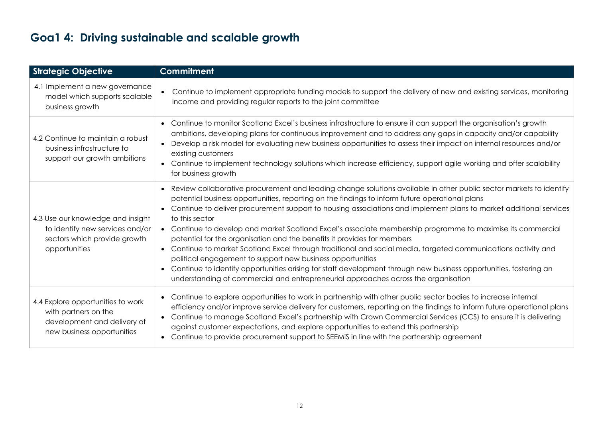# **Goa1 4: Driving sustainable and scalable growth**

| <b>Strategic Objective</b>                                                                                             | <b>Commitment</b>                                                                                                                                                                                                                                                                                                                                                                                                                                                                                                                                                                                                                                                                                                                                                                                                                                                                                                                                                                     |
|------------------------------------------------------------------------------------------------------------------------|---------------------------------------------------------------------------------------------------------------------------------------------------------------------------------------------------------------------------------------------------------------------------------------------------------------------------------------------------------------------------------------------------------------------------------------------------------------------------------------------------------------------------------------------------------------------------------------------------------------------------------------------------------------------------------------------------------------------------------------------------------------------------------------------------------------------------------------------------------------------------------------------------------------------------------------------------------------------------------------|
| 4.1 Implement a new governance<br>model which supports scalable<br>business growth                                     | Continue to implement appropriate funding models to support the delivery of new and existing services, monitoring<br>income and providing regular reports to the joint committee                                                                                                                                                                                                                                                                                                                                                                                                                                                                                                                                                                                                                                                                                                                                                                                                      |
| 4.2 Continue to maintain a robust<br>business infrastructure to<br>support our growth ambitions                        | • Continue to monitor Scotland Excel's business infrastructure to ensure it can support the organisation's growth<br>ambitions, developing plans for continuous improvement and to address any gaps in capacity and/or capability<br>Develop a risk model for evaluating new business opportunities to assess their impact on internal resources and/or<br>existing customers<br>• Continue to implement technology solutions which increase efficiency, support agile working and offer scalability<br>for business growth                                                                                                                                                                                                                                                                                                                                                                                                                                                           |
| 4.3 Use our knowledge and insight<br>to identify new services and/or<br>sectors which provide growth<br>opportunities  | Review collaborative procurement and leading change solutions available in other public sector markets to identify<br>$\bullet$<br>potential business opportunities, reporting on the findings to inform future operational plans<br>Continue to deliver procurement support to housing associations and implement plans to market additional services<br>to this sector<br>• Continue to develop and market Scotland Excel's associate membership programme to maximise its commercial<br>potential for the organisation and the benefits it provides for members<br>Continue to market Scotland Excel through traditional and social media, targeted communications activity and<br>$\bullet$<br>political engagement to support new business opportunities<br>Continue to identify opportunities arising for staff development through new business opportunities, fostering an<br>$\bullet$<br>understanding of commercial and entrepreneurial approaches across the organisation |
| 4.4 Explore opportunities to work<br>with partners on the<br>development and delivery of<br>new business opportunities | • Continue to explore opportunities to work in partnership with other public sector bodies to increase internal<br>efficiency and/or improve service delivery for customers, reporting on the findings to inform future operational plans<br>Continue to manage Scotland Excel's partnership with Crown Commercial Services (CCS) to ensure it is delivering<br>$\bullet$<br>against customer expectations, and explore opportunities to extend this partnership<br>Continue to provide procurement support to SEEMIS in line with the partnership agreement<br>$\bullet$                                                                                                                                                                                                                                                                                                                                                                                                             |